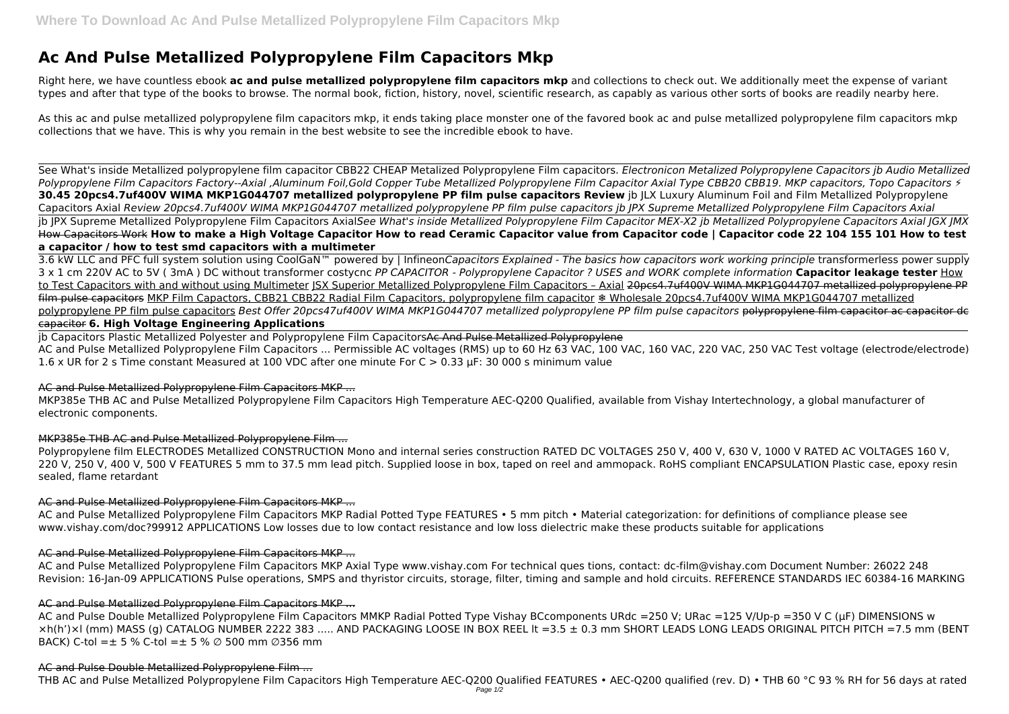# **Ac And Pulse Metallized Polypropylene Film Capacitors Mkp**

Right here, we have countless ebook **ac and pulse metallized polypropylene film capacitors mkp** and collections to check out. We additionally meet the expense of variant types and after that type of the books to browse. The normal book, fiction, history, novel, scientific research, as capably as various other sorts of books are readily nearby here.

As this ac and pulse metallized polypropylene film capacitors mkp, it ends taking place monster one of the favored book ac and pulse metallized polypropylene film capacitors mkp collections that we have. This is why you remain in the best website to see the incredible ebook to have.

See What's inside Metallized polypropylene film capacitor CBB22 CHEAP Metalized Polypropylene Film capacitors. *Electronicon Metalized Polypropylene Capacitors jb Audio Metallized* Polypropylene Film Capacitors Factory--Axial ,Aluminum Foil,Gold Copper Tube Metallized Polypropylene Film Capacitor Axial Type CBB20 CBB19. MKP capacitors, Topo Capacitors  $\frac{1}{2}$ **30.45 20pcs4.7uf400V WIMA MKP1G044707 metallized polypropylene PP film pulse capacitors Review** jb JLX Luxury Aluminum Foil and Film Metallized Polypropylene Capacitors Axial *Review 20pcs4.7uf400V WIMA MKP1G044707 metallized polypropylene PP film pulse capacitors jb JPX Supreme Metallized Polypropylene Film Capacitors Axial* jb JPX Supreme Metallized Polypropylene Film Capacitors Axial*See What's inside Metallized Polypropylene Film Capacitor MEX-X2 jb Metallized Polypropylene Capacitors Axial JGX JMX* How Capacitors Work **How to make a High Voltage Capacitor How to read Ceramic Capacitor value from Capacitor code | Capacitor code 22 104 155 101 How to test a capacitor / how to test smd capacitors with a multimeter**

3.6 kW LLC and PFC full system solution using CoolGaN™ powered by | Infineon*Capacitors Explained - The basics how capacitors work working principle* transformerless power supply 3 x 1 cm 220V AC to 5V ( 3mA ) DC without transformer costycnc *PP CAPACITOR - Polypropylene Capacitor ? USES and WORK complete information* **Capacitor leakage tester** How to Test Capacitors with and without using Multimeter ISX Superior Metallized Polypropylene Film Capacitors - Axial 20pcs4.7uf400V WIMA MKP1G044707 metallized polypropylene PP film pulse capacitors MKP Film Capactors, CBB21 CBB22 Radial Film Capacitors, polypropylene film capacitor ❄️ Wholesale 20pcs4.7uf400V WIMA MKP1G044707 metallized polypropylene PP film pulse capacitors *Best Offer 20pcs47uf400V WIMA MKP1G044707 metallized polypropylene PP film pulse capacitors* polypropylene film capacitor ac capacitor de capacitor **6. High Voltage Engineering Applications**

jb Capacitors Plastic Metallized Polyester and Polypropylene Film CapacitorsAc And Pulse Metallized Polypropylene AC and Pulse Metallized Polypropylene Film Capacitors ... Permissible AC voltages (RMS) up to 60 Hz 63 VAC, 100 VAC, 160 VAC, 220 VAC, 250 VAC Test voltage (electrode/electrode) 1.6 x UR for 2 s Time constant Measured at 100 VDC after one minute For C > 0.33 μF: 30 000 s minimum value

Polypropylene film ELECTRODES Metallized CONSTRUCTION Mono and internal series construction RATED DC VOLTAGES 250 V, 400 V, 630 V, 1000 V RATED AC VOLTAGES 160 V, 220 V, 250 V, 400 V, 500 V FEATURES 5 mm to 37.5 mm lead pitch. Supplied loose in box, taped on reel and ammopack. RoHS compliant ENCAPSULATION Plastic case, epoxy resin sealed, flame retardant

# AC and Pulse Metallized Polypropylene Film Capacitors MKP ...

MKP385e THB AC and Pulse Metallized Polypropylene Film Capacitors High Temperature AEC-Q200 Qualified, available from Vishay Intertechnology, a global manufacturer of electronic components.

# MKP385e THB AC and Pulse Metallized Polypropylene Film ...

# AC and Pulse Metallized Polypropylene Film Capacitors MKP ...

AC and Pulse Metallized Polypropylene Film Capacitors MKP Radial Potted Type FEATURES • 5 mm pitch • Material categorization: for definitions of compliance please see www.vishay.com/doc?99912 APPLICATIONS Low losses due to low contact resistance and low loss dielectric make these products suitable for applications

# AC and Pulse Metallized Polypropylene Film Capacitors MKP ...

AC and Pulse Metallized Polypropylene Film Capacitors MKP Axial Type www.vishay.com For technical ques tions, contact: dc-film@vishay.com Document Number: 26022 248 Revision: 16-Jan-09 APPLICATIONS Pulse operations, SMPS and thyristor circuits, storage, filter, timing and sample and hold circuits. REFERENCE STANDARDS IEC 60384-16 MARKING

# AC and Pulse Metallized Polypropylene Film Capacitors MKP ...

AC and Pulse Double Metallized Polypropylene Film Capacitors MMKP Radial Potted Type Vishay BCcomponents URdc =250 V; URac =125 V/Up-p =350 V C (µF) DIMENSIONS w ×h(h')×l (mm) MASS (g) CATALOG NUMBER 2222 383 ..... AND PACKAGING LOOSE IN BOX REEL lt =3.5 ± 0.3 mm SHORT LEADS LONG LEADS ORIGINAL PITCH PITCH =7.5 mm (BENT BACK) C-tol =  $\pm$  5 % C-tol =  $\pm$  5 %  $\varnothing$  500 mm  $\varnothing$ 356 mm

# AC and Pulse Double Metallized Polypropylene Film ...

THB AC and Pulse Metallized Polypropylene Film Capacitors High Temperature AEC-Q200 Qualified FEATURES • AEC-Q200 qualified (rev. D) • THB 60 °C 93 % RH for 56 days at rated